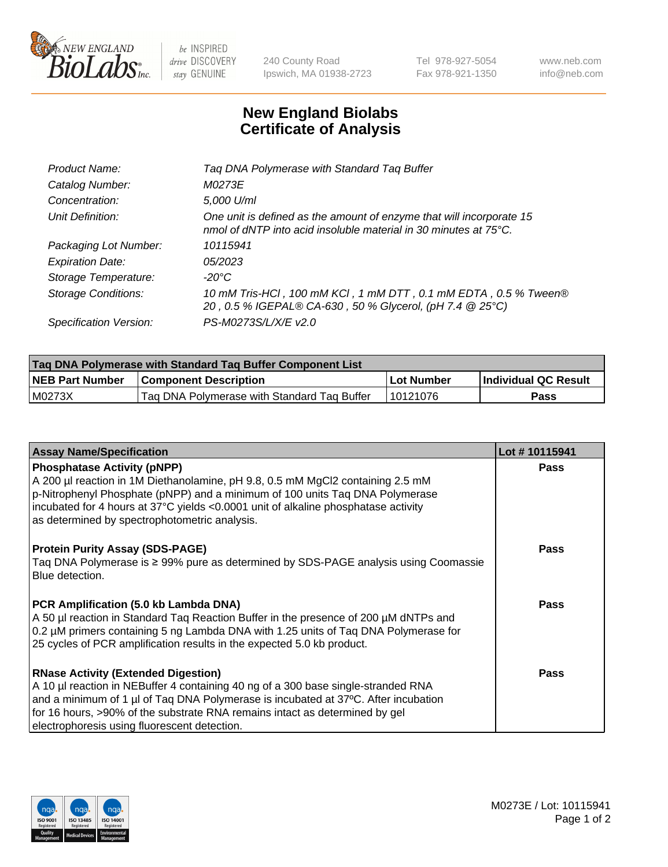

 $be$  INSPIRED drive DISCOVERY stay GENUINE

240 County Road Ipswich, MA 01938-2723 Tel 978-927-5054 Fax 978-921-1350 www.neb.com info@neb.com

## **New England Biolabs Certificate of Analysis**

| Product Name:              | Tag DNA Polymerase with Standard Tag Buffer                                                                                                        |
|----------------------------|----------------------------------------------------------------------------------------------------------------------------------------------------|
| Catalog Number:            | M0273E                                                                                                                                             |
| Concentration:             | 5,000 U/ml                                                                                                                                         |
| Unit Definition:           | One unit is defined as the amount of enzyme that will incorporate 15<br>nmol of dNTP into acid insoluble material in 30 minutes at $75^{\circ}$ C. |
| Packaging Lot Number:      | 10115941                                                                                                                                           |
| <b>Expiration Date:</b>    | 05/2023                                                                                                                                            |
| Storage Temperature:       | $-20^{\circ}$ C                                                                                                                                    |
| <b>Storage Conditions:</b> | 10 mM Tris-HCl, 100 mM KCl, 1 mM DTT, 0.1 mM EDTA, 0.5 % Tween®<br>20, 0.5 % IGEPAL® CA-630, 50 % Glycerol, (pH 7.4 @ 25°C)                        |
| Specification Version:     | PS-M0273S/L/X/E v2.0                                                                                                                               |

| Tag DNA Polymerase with Standard Tag Buffer Component List |                                             |              |                      |  |
|------------------------------------------------------------|---------------------------------------------|--------------|----------------------|--|
| <b>NEB Part Number</b>                                     | <b>Component Description</b>                | l Lot Number | Individual QC Result |  |
| M0273X                                                     | Tag DNA Polymerase with Standard Tag Buffer | 10121076     | Pass                 |  |

| <b>Assay Name/Specification</b>                                                                                                                                                                                                                                                                                                                      | Lot #10115941 |
|------------------------------------------------------------------------------------------------------------------------------------------------------------------------------------------------------------------------------------------------------------------------------------------------------------------------------------------------------|---------------|
| <b>Phosphatase Activity (pNPP)</b><br>A 200 µl reaction in 1M Diethanolamine, pH 9.8, 0.5 mM MgCl2 containing 2.5 mM<br>p-Nitrophenyl Phosphate (pNPP) and a minimum of 100 units Taq DNA Polymerase<br>incubated for 4 hours at 37°C yields <0.0001 unit of alkaline phosphatase activity<br>as determined by spectrophotometric analysis.          | <b>Pass</b>   |
| <b>Protein Purity Assay (SDS-PAGE)</b><br>Taq DNA Polymerase is ≥ 99% pure as determined by SDS-PAGE analysis using Coomassie<br>Blue detection.                                                                                                                                                                                                     | <b>Pass</b>   |
| PCR Amplification (5.0 kb Lambda DNA)<br>A 50 µl reaction in Standard Taq Reaction Buffer in the presence of 200 µM dNTPs and<br>0.2 µM primers containing 5 ng Lambda DNA with 1.25 units of Tag DNA Polymerase for<br>25 cycles of PCR amplification results in the expected 5.0 kb product.                                                       | <b>Pass</b>   |
| <b>RNase Activity (Extended Digestion)</b><br>A 10 µl reaction in NEBuffer 4 containing 40 ng of a 300 base single-stranded RNA<br>and a minimum of 1 µl of Taq DNA Polymerase is incubated at 37°C. After incubation<br>for 16 hours, >90% of the substrate RNA remains intact as determined by gel<br>electrophoresis using fluorescent detection. | Pass          |